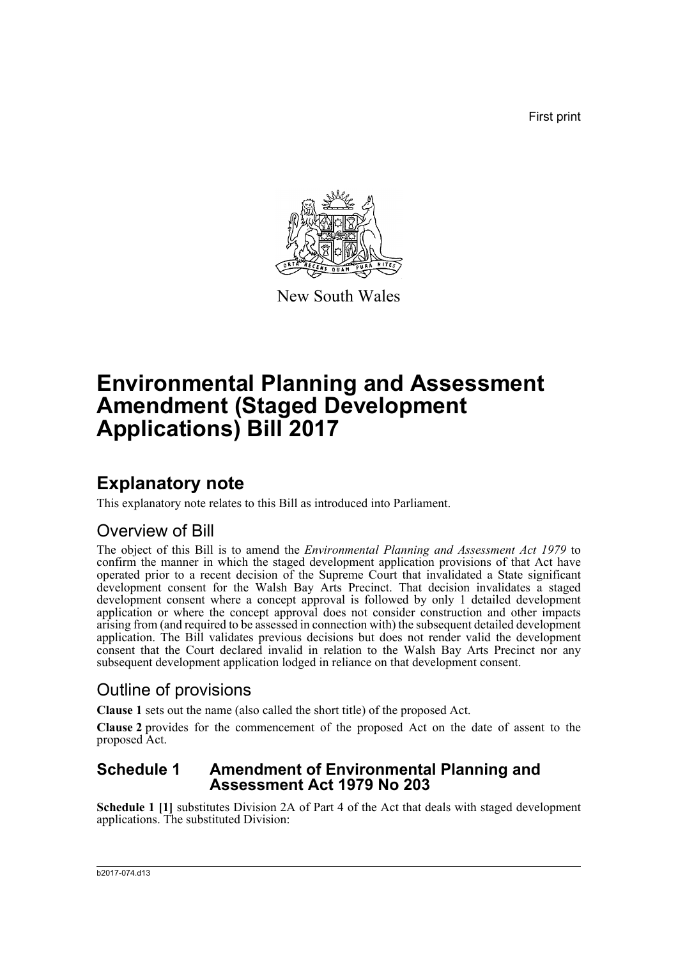First print



New South Wales

# **Environmental Planning and Assessment Amendment (Staged Development Applications) Bill 2017**

## **Explanatory note**

This explanatory note relates to this Bill as introduced into Parliament.

### Overview of Bill

The object of this Bill is to amend the *Environmental Planning and Assessment Act 1979* to confirm the manner in which the staged development application provisions of that Act have operated prior to a recent decision of the Supreme Court that invalidated a State significant development consent for the Walsh Bay Arts Precinct. That decision invalidates a staged development consent where a concept approval is followed by only 1 detailed development application or where the concept approval does not consider construction and other impacts arising from (and required to be assessed in connection with) the subsequent detailed development application. The Bill validates previous decisions but does not render valid the development consent that the Court declared invalid in relation to the Walsh Bay Arts Precinct nor any subsequent development application lodged in reliance on that development consent.

### Outline of provisions

**Clause 1** sets out the name (also called the short title) of the proposed Act.

**Clause 2** provides for the commencement of the proposed Act on the date of assent to the proposed Act.

### **Schedule 1 Amendment of Environmental Planning and Assessment Act 1979 No 203**

**Schedule 1 [1]** substitutes Division 2A of Part 4 of the Act that deals with staged development applications. The substituted Division: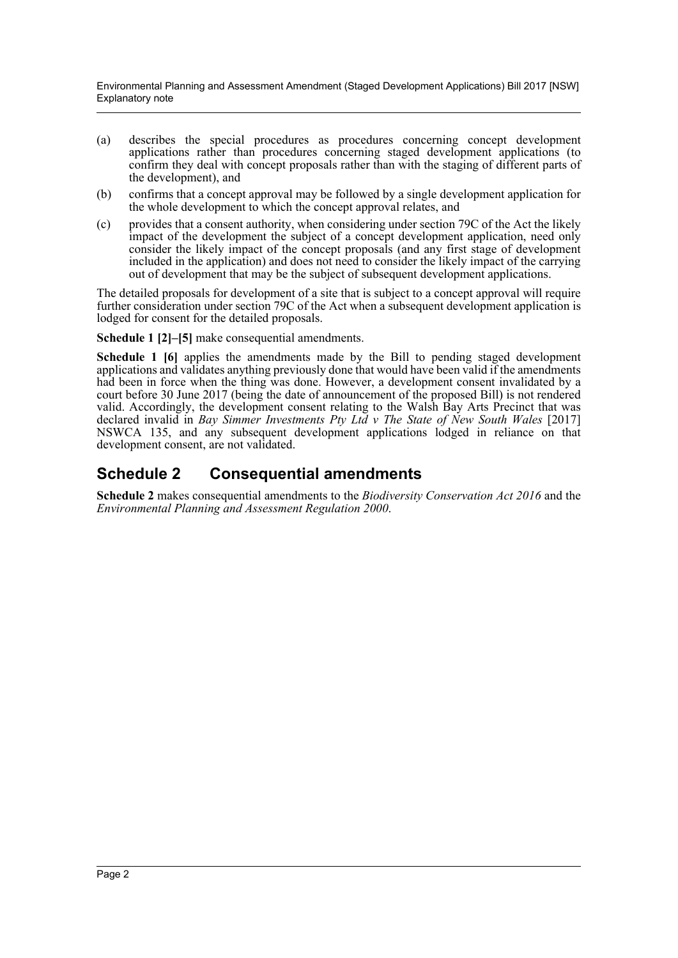Environmental Planning and Assessment Amendment (Staged Development Applications) Bill 2017 [NSW] Explanatory note

- (a) describes the special procedures as procedures concerning concept development applications rather than procedures concerning staged development applications (to confirm they deal with concept proposals rather than with the staging of different parts of the development), and
- (b) confirms that a concept approval may be followed by a single development application for the whole development to which the concept approval relates, and
- (c) provides that a consent authority, when considering under section 79C of the Act the likely impact of the development the subject of a concept development application, need only consider the likely impact of the concept proposals (and any first stage of development included in the application) and does not need to consider the likely impact of the carrying out of development that may be the subject of subsequent development applications.

The detailed proposals for development of a site that is subject to a concept approval will require further consideration under section 79C of the Act when a subsequent development application is lodged for consent for the detailed proposals.

**Schedule 1 [2]–[5]** make consequential amendments.

**Schedule 1 [6]** applies the amendments made by the Bill to pending staged development applications and validates anything previously done that would have been valid if the amendments had been in force when the thing was done. However, a development consent invalidated by a court before 30 June 2017 (being the date of announcement of the proposed Bill) is not rendered valid. Accordingly, the development consent relating to the Walsh Bay Arts Precinct that was declared invalid in *Bay Simmer Investments Pty Ltd v The State of New South Wales* [2017] NSWCA 135, and any subsequent development applications lodged in reliance on that development consent, are not validated.

### **Schedule 2 Consequential amendments**

**Schedule 2** makes consequential amendments to the *Biodiversity Conservation Act 2016* and the *Environmental Planning and Assessment Regulation 2000*.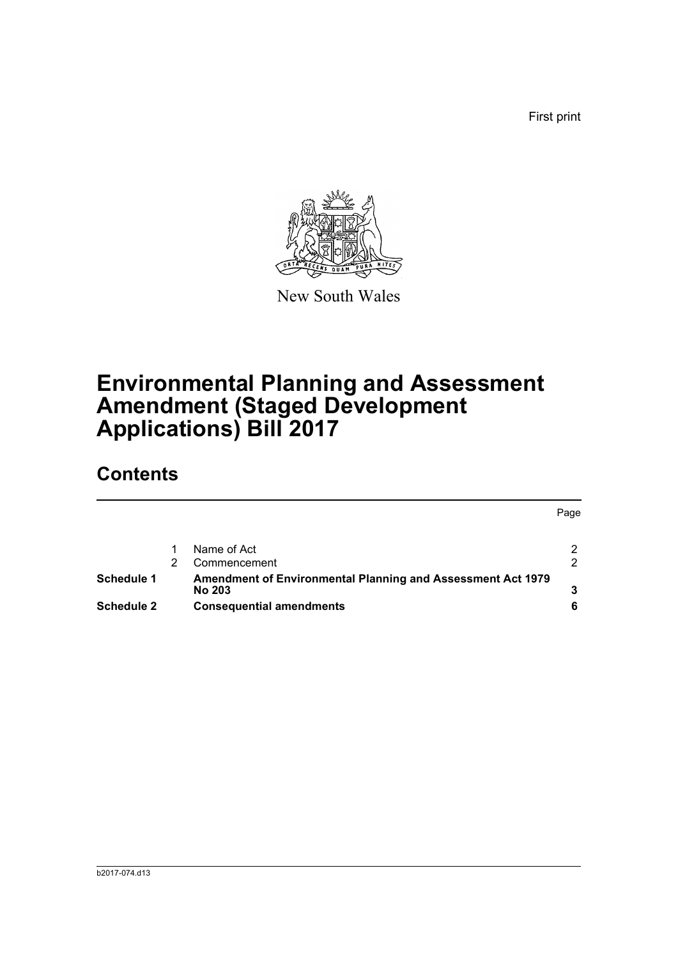First print



New South Wales

# **Environmental Planning and Assessment Amendment (Staged Development Applications) Bill 2017**

## **Contents**

|                   |                                                                              | Page |
|-------------------|------------------------------------------------------------------------------|------|
|                   | Name of Act                                                                  | າ    |
|                   | Commencement                                                                 | っ    |
| Schedule 1        | Amendment of Environmental Planning and Assessment Act 1979<br><b>No 203</b> |      |
| <b>Schedule 2</b> | <b>Consequential amendments</b>                                              |      |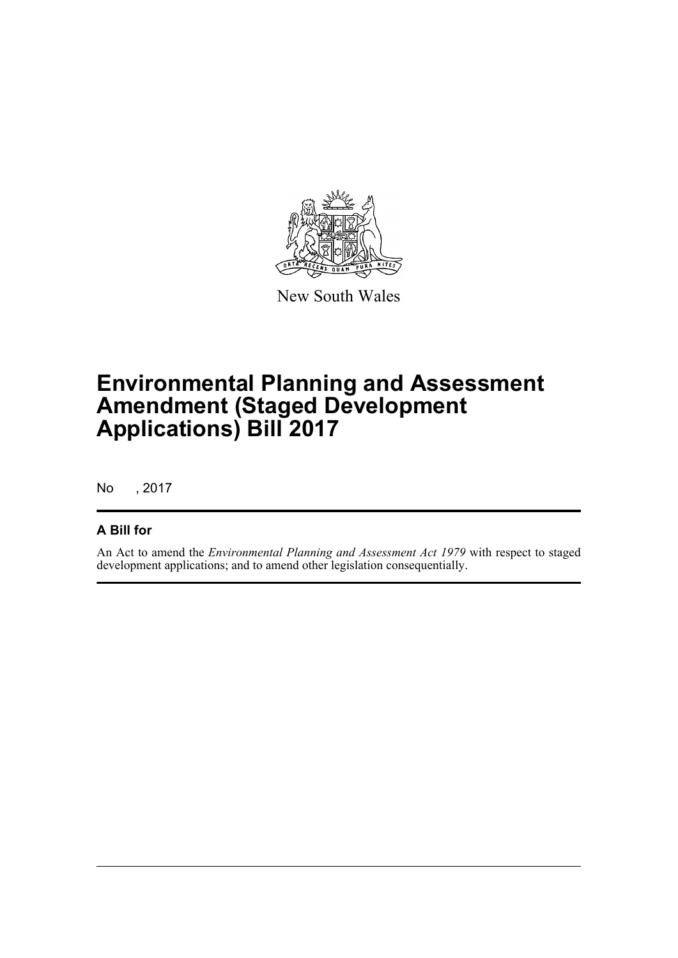

New South Wales

# **Environmental Planning and Assessment Amendment (Staged Development Applications) Bill 2017**

No , 2017

#### **A Bill for**

An Act to amend the *Environmental Planning and Assessment Act 1979* with respect to staged development applications; and to amend other legislation consequentially.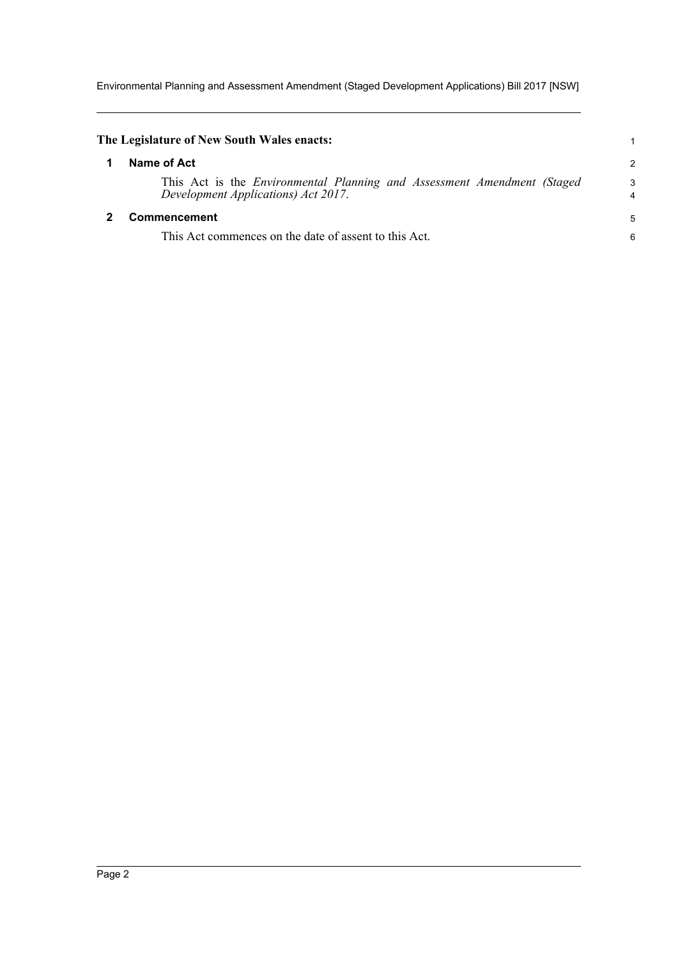Environmental Planning and Assessment Amendment (Staged Development Applications) Bill 2017 [NSW]

<span id="page-4-1"></span><span id="page-4-0"></span>

| The Legislature of New South Wales enacts:                                                                              |                     |
|-------------------------------------------------------------------------------------------------------------------------|---------------------|
| Name of Act                                                                                                             | $\overline{c}$      |
| This Act is the <i>Environmental Planning and Assessment Amendment (Staged</i> )<br>Development Applications) Act 2017. | 3<br>$\overline{4}$ |
| <b>Commencement</b>                                                                                                     | 5                   |
| This Act commences on the date of assent to this Act.                                                                   | 6                   |
|                                                                                                                         |                     |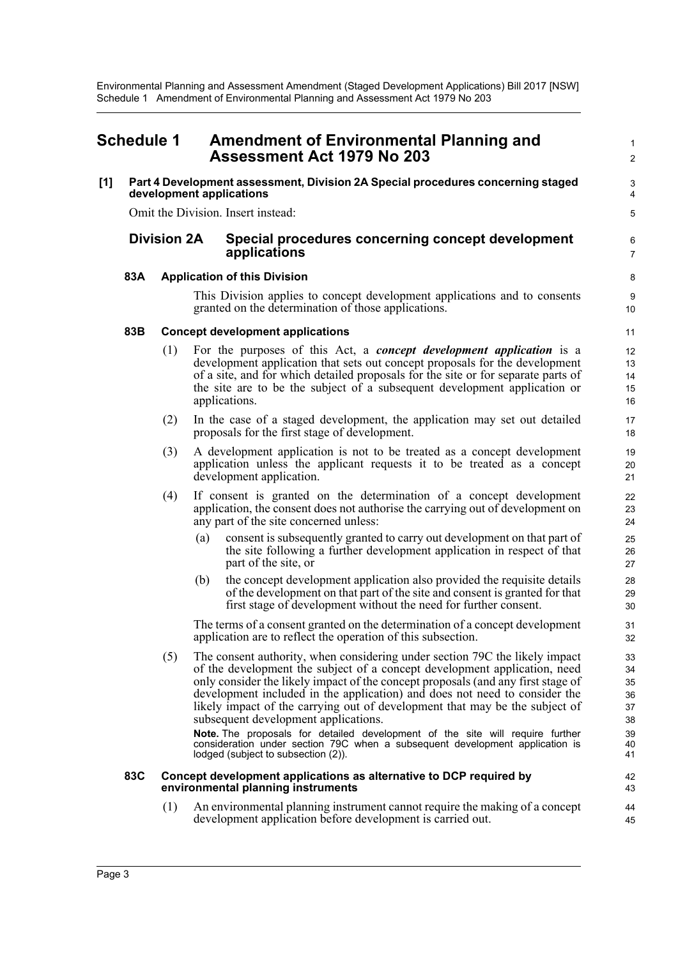<span id="page-5-0"></span>

| <b>Schedule 1</b> |                    |     | <b>Amendment of Environmental Planning and</b><br><b>Assessment Act 1979 No 203</b>                                                                                                                                                                                                                                                                                                                                                               |                                  |
|-------------------|--------------------|-----|---------------------------------------------------------------------------------------------------------------------------------------------------------------------------------------------------------------------------------------------------------------------------------------------------------------------------------------------------------------------------------------------------------------------------------------------------|----------------------------------|
| [1]               |                    |     | Part 4 Development assessment, Division 2A Special procedures concerning staged<br>development applications                                                                                                                                                                                                                                                                                                                                       | $\ensuremath{\mathsf{3}}$<br>4   |
|                   |                    |     | Omit the Division. Insert instead:                                                                                                                                                                                                                                                                                                                                                                                                                | 5                                |
|                   | <b>Division 2A</b> |     | Special procedures concerning concept development<br>applications                                                                                                                                                                                                                                                                                                                                                                                 | 6<br>7                           |
|                   | 83A                |     | <b>Application of this Division</b>                                                                                                                                                                                                                                                                                                                                                                                                               | 8                                |
|                   |                    |     | This Division applies to concept development applications and to consents<br>granted on the determination of those applications.                                                                                                                                                                                                                                                                                                                  | 9<br>10                          |
|                   | 83B                |     | <b>Concept development applications</b>                                                                                                                                                                                                                                                                                                                                                                                                           | 11                               |
|                   |                    | (1) | For the purposes of this Act, a <i>concept development application</i> is a<br>development application that sets out concept proposals for the development<br>of a site, and for which detailed proposals for the site or for separate parts of<br>the site are to be the subject of a subsequent development application or<br>applications.                                                                                                     | 12<br>13<br>14<br>15<br>16       |
|                   |                    | (2) | In the case of a staged development, the application may set out detailed<br>proposals for the first stage of development.                                                                                                                                                                                                                                                                                                                        | 17<br>18                         |
|                   |                    | (3) | A development application is not to be treated as a concept development<br>application unless the applicant requests it to be treated as a concept<br>development application.                                                                                                                                                                                                                                                                    | 19<br>20<br>21                   |
|                   |                    | (4) | If consent is granted on the determination of a concept development<br>application, the consent does not authorise the carrying out of development on<br>any part of the site concerned unless:                                                                                                                                                                                                                                                   | 22<br>23<br>24                   |
|                   |                    |     | consent is subsequently granted to carry out development on that part of<br>(a)<br>the site following a further development application in respect of that<br>part of the site, or                                                                                                                                                                                                                                                                | 25<br>26<br>27                   |
|                   |                    |     | the concept development application also provided the requisite details<br>(b)<br>of the development on that part of the site and consent is granted for that<br>first stage of development without the need for further consent.                                                                                                                                                                                                                 | 28<br>29<br>30                   |
|                   |                    |     | The terms of a consent granted on the determination of a concept development<br>application are to reflect the operation of this subsection.                                                                                                                                                                                                                                                                                                      | 31<br>32                         |
|                   |                    | (5) | The consent authority, when considering under section 79C the likely impact<br>of the development the subject of a concept development application, need<br>only consider the likely impact of the concept proposals (and any first stage of<br>development included in the application) and does not need to consider the<br>likely impact of the carrying out of development that may be the subject of<br>subsequent development applications. | 33<br>34<br>35<br>36<br>37<br>38 |
|                   |                    |     | Note. The proposals for detailed development of the site will require further<br>consideration under section 79C when a subsequent development application is<br>lodged (subject to subsection (2)).                                                                                                                                                                                                                                              | 39<br>40<br>41                   |
|                   | 83C                |     | Concept development applications as alternative to DCP required by<br>environmental planning instruments                                                                                                                                                                                                                                                                                                                                          | 42<br>43                         |
|                   |                    | (1) | An environmental planning instrument cannot require the making of a concept<br>development application before development is carried out.                                                                                                                                                                                                                                                                                                         | 44<br>45                         |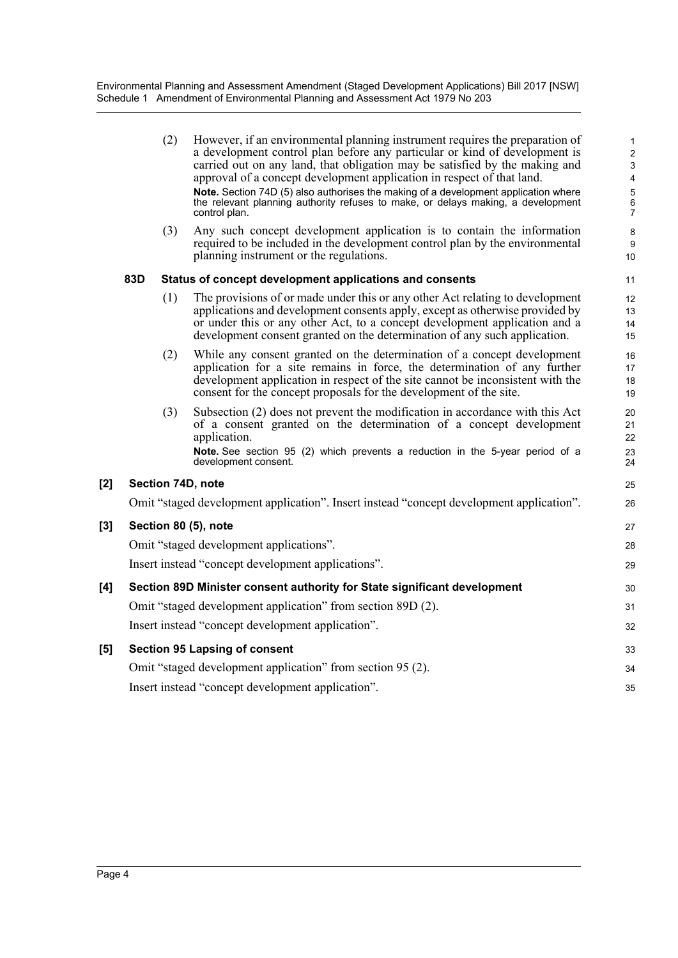Environmental Planning and Assessment Amendment (Staged Development Applications) Bill 2017 [NSW] Schedule 1 Amendment of Environmental Planning and Assessment Act 1979 No 203

> (2) However, if an environmental planning instrument requires the preparation of a development control plan before any particular or kind of development is carried out on any land, that obligation may be satisfied by the making and approval of a concept development application in respect of that land. **Note.** Section 74D (5) also authorises the making of a development application where the relevant planning authority refuses to make, or delays making, a development control plan.

32

35

(3) Any such concept development application is to contain the information required to be included in the development control plan by the environmental planning instrument or the regulations.

#### **83D Status of concept development applications and consents**

- (1) The provisions of or made under this or any other Act relating to development applications and development consents apply, except as otherwise provided by or under this or any other Act, to a concept development application and a development consent granted on the determination of any such application.
- (2) While any consent granted on the determination of a concept development application for a site remains in force, the determination of any further development application in respect of the site cannot be inconsistent with the consent for the concept proposals for the development of the site.
- (3) Subsection (2) does not prevent the modification in accordance with this Act of a consent granted on the determination of a concept development application. **Note.** See section 95 (2) which prevents a reduction in the 5-year period of a development consent.

#### **[2] Section 74D, note**

Omit "staged development application". Insert instead "concept development application".

#### **[3] Section 80 (5), note**

Omit "staged development applications". Insert instead "concept development applications".

#### **[4] Section 89D Minister consent authority for State significant development** Omit "staged development application" from section 89D (2). Insert instead "concept development application". **[5] Section 95 Lapsing of consent** Omit "staged development application" from section 95 (2). 31 33 34

Insert instead "concept development application".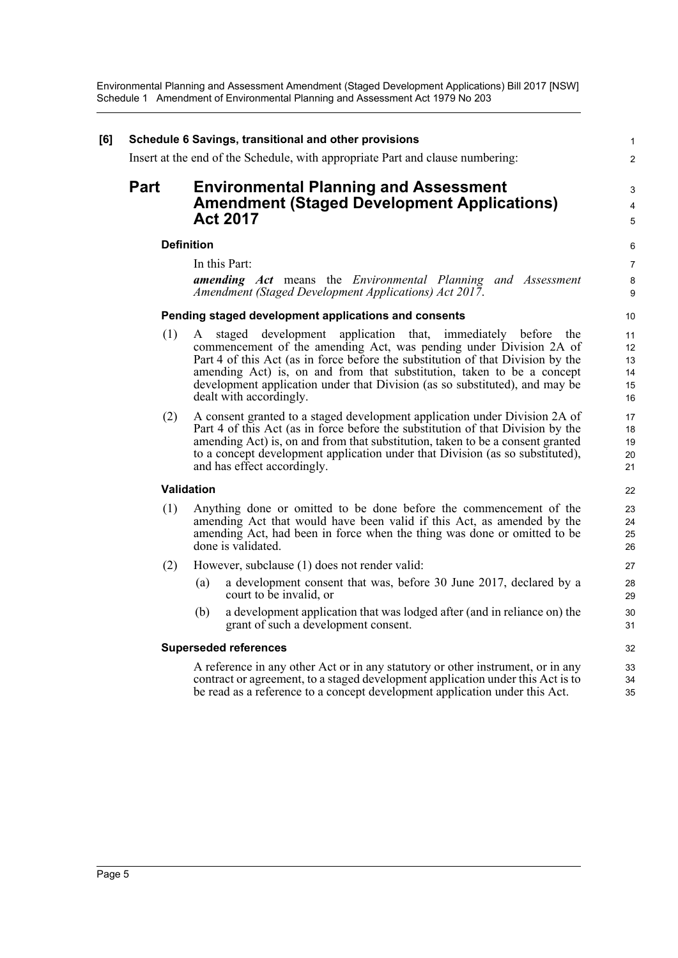| [6] |             | Schedule 6 Savings, transitional and other provisions                                                                                                                                                                                                                                                                                                                                                      | $\mathbf{1}$                     |
|-----|-------------|------------------------------------------------------------------------------------------------------------------------------------------------------------------------------------------------------------------------------------------------------------------------------------------------------------------------------------------------------------------------------------------------------------|----------------------------------|
|     |             | Insert at the end of the Schedule, with appropriate Part and clause numbering:                                                                                                                                                                                                                                                                                                                             | $\overline{c}$                   |
|     | <b>Part</b> | <b>Environmental Planning and Assessment</b><br><b>Amendment (Staged Development Applications)</b><br><b>Act 2017</b>                                                                                                                                                                                                                                                                                      | 3<br>4<br>5                      |
|     |             | <b>Definition</b>                                                                                                                                                                                                                                                                                                                                                                                          | 6                                |
|     |             | In this Part:<br><b>amending</b> Act means the <i>Environmental Planning and Assessment</i><br>Amendment (Staged Development Applications) Act 2017.                                                                                                                                                                                                                                                       | $\overline{7}$<br>8<br>9         |
|     |             | Pending staged development applications and consents                                                                                                                                                                                                                                                                                                                                                       | 10                               |
|     | (1)         | A staged development application that, immediately before the<br>commencement of the amending Act, was pending under Division 2A of<br>Part 4 of this Act (as in force before the substitution of that Division by the<br>amending Act) is, on and from that substitution, taken to be a concept<br>development application under that Division (as so substituted), and may be<br>dealt with accordingly. | 11<br>12<br>13<br>14<br>15<br>16 |
|     | (2)         | A consent granted to a staged development application under Division 2A of<br>Part 4 of this Act (as in force before the substitution of that Division by the<br>amending Act) is, on and from that substitution, taken to be a consent granted<br>to a concept development application under that Division (as so substituted),<br>and has effect accordingly.                                            | 17<br>18<br>19<br>20<br>21       |
|     |             | Validation                                                                                                                                                                                                                                                                                                                                                                                                 | 22                               |
|     | (1)         | Anything done or omitted to be done before the commencement of the<br>amending Act that would have been valid if this Act, as amended by the<br>amending Act, had been in force when the thing was done or omitted to be<br>done is validated.                                                                                                                                                             | 23<br>24<br>25<br>26             |
|     | (2)         | However, subclause (1) does not render valid:                                                                                                                                                                                                                                                                                                                                                              | 27                               |
|     |             | a development consent that was, before 30 June 2017, declared by a<br>(a)<br>court to be invalid, or                                                                                                                                                                                                                                                                                                       | 28<br>29                         |
|     |             | a development application that was lodged after (and in reliance on) the<br>(b)<br>grant of such a development consent.                                                                                                                                                                                                                                                                                    | 30<br>31                         |
|     |             | <b>Superseded references</b>                                                                                                                                                                                                                                                                                                                                                                               | 32                               |
|     |             | A reference in any other Act or in any statutory or other instrument, or in any<br>contract or agreement, to a staged development application under this Act is to<br>be read as a reference to a concept development application under this Act.                                                                                                                                                          | 33<br>34<br>35                   |
|     |             |                                                                                                                                                                                                                                                                                                                                                                                                            |                                  |